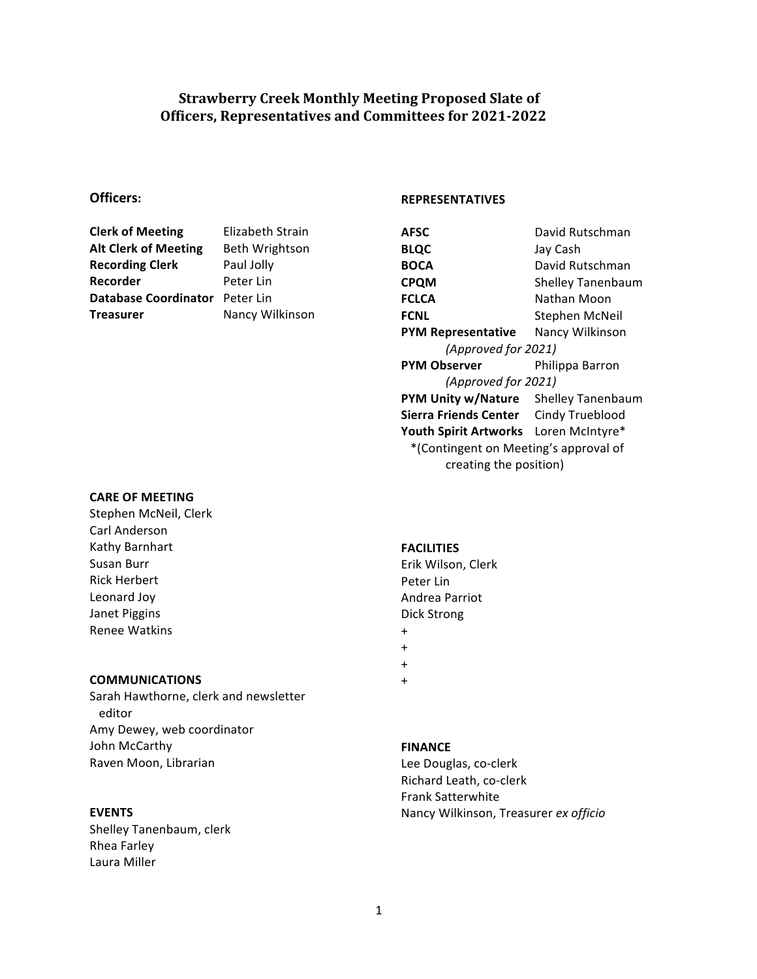# **Strawberry Creek Monthly Meeting Proposed Slate of Officers, Representatives and Committees for 2021-2022**

# **Officers:**

| <b>Clerk of Meeting</b>        | Elizabeth Strain      |
|--------------------------------|-----------------------|
| <b>Alt Clerk of Meeting</b>    | <b>Beth Wrightson</b> |
| <b>Recording Clerk</b>         | Paul Jolly            |
| Recorder                       | Peter Lin             |
| Database Coordinator Peter Lin |                       |
| <b>Treasurer</b>               | Nancy Wilkinson       |
|                                |                       |

#### **REPRESENTATIVES**

| AFSC                                  | David Rutschman          |
|---------------------------------------|--------------------------|
| <b>BLQC</b>                           | Jay Cash                 |
| <b>BOCA</b>                           | David Rutschman          |
| <b>CPQM</b>                           | <b>Shelley Tanenbaum</b> |
| <b>FCLCA</b>                          | Nathan Moon              |
| <b>FCNL</b>                           | Stephen McNeil           |
| <b>PYM Representative</b>             | Nancy Wilkinson          |
| (Approved for 2021)                   |                          |
| <b>PYM Observer</b>                   | Philippa Barron          |
| (Approved for 2021)                   |                          |
| PYM Unity w/Nature Shelley Tanenbaum  |                          |
| Sierra Friends Center Cindy Trueblood |                          |
| Youth Spirit Artworks Loren McIntyre* |                          |
| *(Contingent on Meeting's approval of |                          |
| creating the position)                |                          |

### **CARE OF MEETING**

Stephen McNeil, Clerk Carl Anderson Kathy Barnhart Susan Burr Rick Herbert Leonard Joy Janet Piggins Renee Watkins

## **COMMUNICATIONS**

Sarah Hawthorne, clerk and newsletter editor Amy Dewey, web coordinator John McCarthy Raven Moon, Librarian

### **EVENTS**

Shelley Tanenbaum, clerk Rhea Farley Laura Miller

#### **FACILITIES**

Erik Wilson, Clerk Peter Lin Andrea Parriot Dick Strong

- + +
- +
- +

#### **FINANCE**

Lee Douglas, co-clerk Richard Leath, co-clerk Frank Satterwhite Nancy Wilkinson, Treasurer *ex officio*